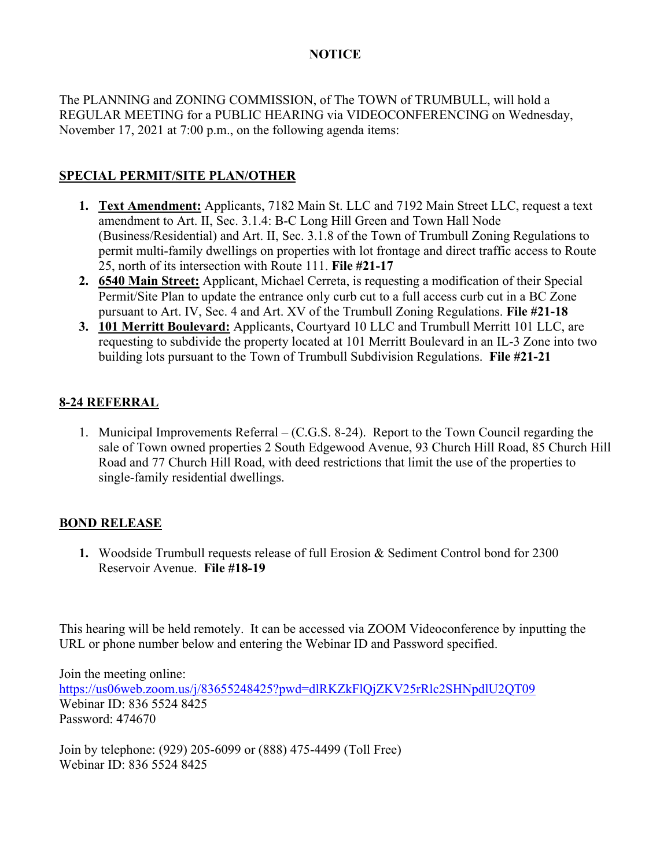## **NOTICE**

The PLANNING and ZONING COMMISSION, of The TOWN of TRUMBULL, will hold a REGULAR MEETING for a PUBLIC HEARING via VIDEOCONFERENCING on Wednesday, November 17, 2021 at 7:00 p.m., on the following agenda items:

## **SPECIAL PERMIT/SITE PLAN/OTHER**

- **1. Text Amendment:** Applicants, 7182 Main St. LLC and 7192 Main Street LLC, request a text amendment to Art. II, Sec. 3.1.4: B-C Long Hill Green and Town Hall Node (Business/Residential) and Art. II, Sec. 3.1.8 of the Town of Trumbull Zoning Regulations to permit multi-family dwellings on properties with lot frontage and direct traffic access to Route 25, north of its intersection with Route 111. **File #21-17**
- **2. 6540 Main Street:** Applicant, Michael Cerreta, is requesting a modification of their Special Permit/Site Plan to update the entrance only curb cut to a full access curb cut in a BC Zone pursuant to Art. IV, Sec. 4 and Art. XV of the Trumbull Zoning Regulations. **File #21-18**
- **3. 101 Merritt Boulevard:** Applicants, Courtyard 10 LLC and Trumbull Merritt 101 LLC, are requesting to subdivide the property located at 101 Merritt Boulevard in an IL-3 Zone into two building lots pursuant to the Town of Trumbull Subdivision Regulations. **File #21-21**

## **8-24 REFERRAL**

1. Municipal Improvements Referral – (C.G.S. 8-24). Report to the Town Council regarding the sale of Town owned properties 2 South Edgewood Avenue, 93 Church Hill Road, 85 Church Hill Road and 77 Church Hill Road, with deed restrictions that limit the use of the properties to single-family residential dwellings.

## **BOND RELEASE**

**1.** Woodside Trumbull requests release of full Erosion & Sediment Control bond for 2300 Reservoir Avenue. **File #18-19**

This hearing will be held remotely. It can be accessed via ZOOM Videoconference by inputting the URL or phone number below and entering the Webinar ID and Password specified.

Join the meeting online: <https://us06web.zoom.us/j/83655248425?pwd=dlRKZkFlQjZKV25rRlc2SHNpdlU2QT09> Webinar ID: 836 5524 8425 Password: 474670

Join by telephone: (929) 205-6099 or (888) 475-4499 (Toll Free) Webinar ID: 836 5524 8425